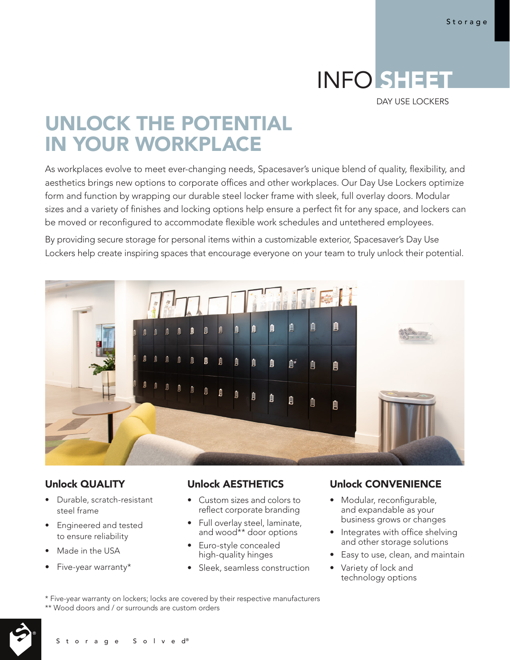# INFO SHEET

DAY USE LOCKERS

# UNLOCK THE POTENTIAL IN YOUR WORKPLACE

As workplaces evolve to meet ever-changing needs, Spacesaver's unique blend of quality, flexibility, and aesthetics brings new options to corporate offices and other workplaces. Our Day Use Lockers optimize form and function by wrapping our durable steel locker frame with sleek, full overlay doors. Modular sizes and a variety of finishes and locking options help ensure a perfect fit for any space, and lockers can be moved or reconfigured to accommodate flexible work schedules and untethered employees.

By providing secure storage for personal items within a customizable exterior, Spacesaver's Day Use Lockers help create inspiring spaces that encourage everyone on your team to truly unlock their potential.



# Unlock QUALITY

- Durable, scratch-resistant steel frame
- Engineered and tested to ensure reliability
- Made in the USA
- Five-year warranty\*

# Unlock AESTHETICS

- Custom sizes and colors to reflect corporate branding
- Full overlay steel, laminate, and wood\*\* door options
- Euro-style concealed high-quality hinges
- Sleek, seamless construction

# Unlock CONVENIENCE

- Modular, reconfigurable, and expandable as your business grows or changes
- Integrates with office shelving and other storage solutions
- Easy to use, clean, and maintain
- Variety of lock and technology options

\* Five-year warranty on lockers; locks are covered by their respective manufacturers \*\* Wood doors and / or surrounds are custom orders



Storage Solved®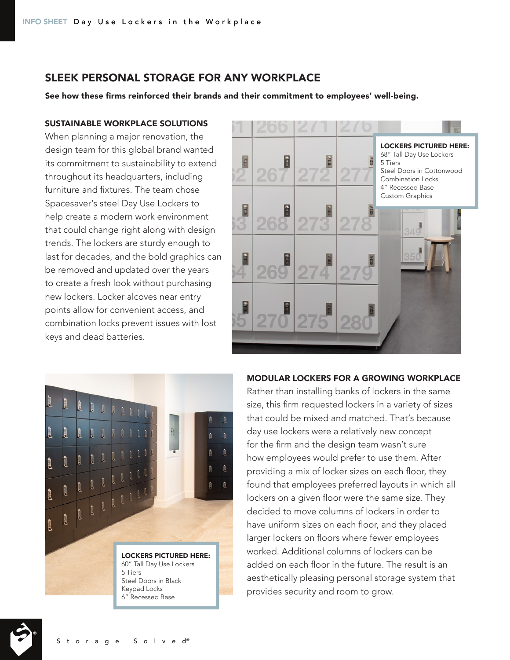# SLEEK PERSONAL STORAGE FOR ANY WORKPLACE

See how these firms reinforced their brands and their commitment to employees' well-being.

#### SUSTAINABLE WORKPLACE SOLUTIONS

When planning a major renovation, the design team for this global brand wanted its commitment to sustainability to extend throughout its headquarters, including furniture and fixtures. The team chose Spacesaver's steel Day Use Lockers to help create a modern work environment that could change right along with design trends. The lockers are sturdy enough to last for decades, and the bold graphics can be removed and updated over the years to create a fresh look without purchasing new lockers. Locker alcoves near entry points allow for convenient access, and combination locks prevent issues with lost keys and dead batteries.





#### MODULAR LOCKERS FOR A GROWING WORKPLACE

Rather than installing banks of lockers in the same size, this firm requested lockers in a variety of sizes that could be mixed and matched. That's because day use lockers were a relatively new concept for the firm and the design team wasn't sure how employees would prefer to use them. After providing a mix of locker sizes on each floor, they found that employees preferred layouts in which all lockers on a given floor were the same size. They decided to move columns of lockers in order to have uniform sizes on each floor, and they placed larger lockers on floors where fewer employees worked. Additional columns of lockers can be added on each floor in the future. The result is an aesthetically pleasing personal storage system that provides security and room to grow.

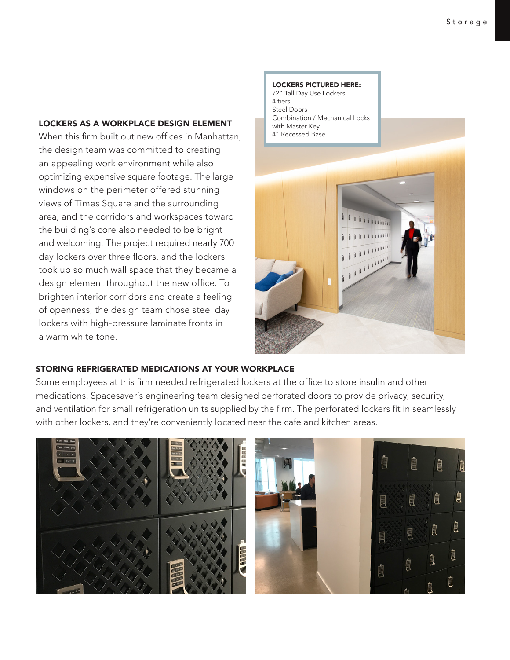#### LOCKERS AS A WORKPLACE DESIGN ELEMENT

When this firm built out new offices in Manhattan, the design team was committed to creating an appealing work environment while also optimizing expensive square footage. The large windows on the perimeter offered stunning views of Times Square and the surrounding area, and the corridors and workspaces toward the building's core also needed to be bright and welcoming. The project required nearly 700 day lockers over three floors, and the lockers took up so much wall space that they became a design element throughout the new office. To brighten interior corridors and create a feeling of openness, the design team chose steel day lockers with high-pressure laminate fronts in a warm white tone.



LOCKERS PICTURED HERE:

#### STORING REFRIGERATED MEDICATIONS AT YOUR WORKPLACE

Some employees at this firm needed refrigerated lockers at the office to store insulin and other medications. Spacesaver's engineering team designed perforated doors to provide privacy, security, and ventilation for small refrigeration units supplied by the firm. The perforated lockers fit in seamlessly with other lockers, and they're conveniently located near the cafe and kitchen areas.